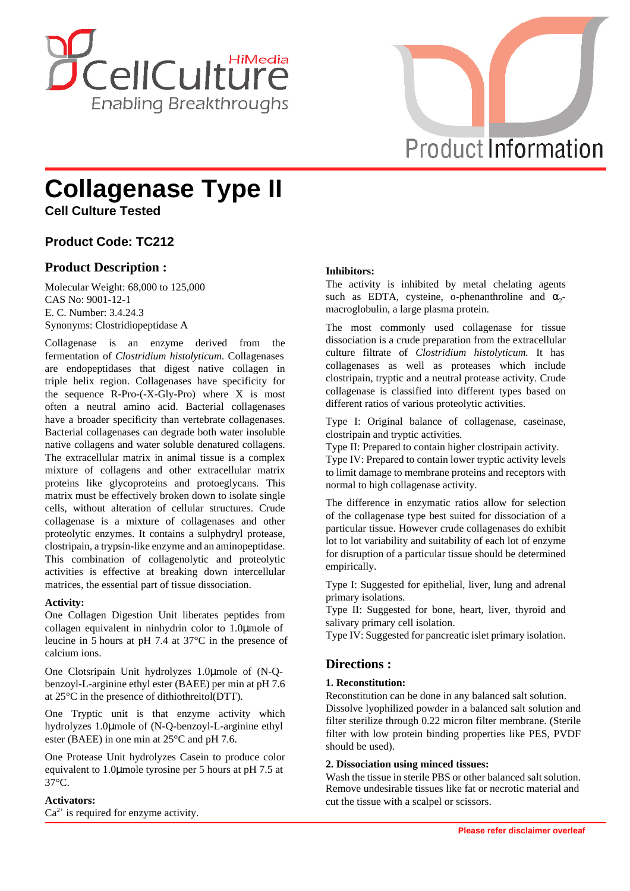



# **Collagenase Type II**

**Cell Culture Tested**

# **Product Code: TC212**

# **Product Description :**

Molecular Weight: 68,000 to 125,000 CAS No: 9001-12-1 E. C. Number: 3.4.24.3 Synonyms: Clostridiopeptidase A

Collagenase is an enzyme derived from the fermentation of *Clostridium histolyticum*. Collagenases are endopeptidases that digest native collagen in triple helix region. Collagenases have specificity for the sequence R-Pro-(-X-Gly-Pro) where X is most often a neutral amino acid. Bacterial collagenases have a broader specificity than vertebrate collagenases. Bacterial collagenases can degrade both water insoluble native collagens and water soluble denatured collagens. The extracellular matrix in animal tissue is a complex mixture of collagens and other extracellular matrix proteins like glycoproteins and protoeglycans. This matrix must be effectively broken down to isolate single cells, without alteration of cellular structures. Crude collagenase is a mixture of collagenases and other proteolytic enzymes. It contains a sulphydryl protease, clostripain, a trypsin-like enzyme and an aminopeptidase. This combination of collagenolytic and proteolytic activities is effective at breaking down intercellular matrices, the essential part of tissue dissociation.

## **Activity:**

One Collagen Digestion Unit liberates peptides from collagen equivalent in ninhydrin color to 1.0μmole of leucine in 5 hours at pH 7.4 at 37°C in the presence of calcium ions.

One Clotsripain Unit hydrolyzes 1.0μmole of (N-Qbenzoyl-L-arginine ethyl ester (BAEE) per min at pH 7.6 at 25°C in the presence of dithiothreitol(DTT).

One Tryptic unit is that enzyme activity which hydrolyzes 1.0μmole of (N-Q-benzoyl-L-arginine ethyl ester (BAEE) in one min at 25°C and pH 7.6.

One Protease Unit hydrolyzes Casein to produce color equivalent to 1.0μmole tyrosine per 5 hours at pH 7.5 at 37°C.

## **Activators:**

 $Ca<sup>2+</sup>$  is required for enzyme activity.

## **Inhibitors:**

The activity is inhibited by metal chelating agents such as EDTA, cysteine, o-phenanthroline and  $\alpha_2$ macroglobulin, a large plasma protein.

The most commonly used collagenase for tissue dissociation is a crude preparation from the extracellular culture filtrate of *Clostridium histolyticum.* It has collagenases as well as proteases which include clostripain, tryptic and a neutral protease activity. Crude collagenase is classified into different types based on different ratios of various proteolytic activities.

Type I: Original balance of collagenase, caseinase, clostripain and tryptic activities.

Type II: Prepared to contain higher clostripain activity.

Type IV: Prepared to contain lower tryptic activity levels to limit damage to membrane proteins and receptors with normal to high collagenase activity.

The difference in enzymatic ratios allow for selection of the collagenase type best suited for dissociation of a particular tissue. However crude collagenases do exhibit lot to lot variability and suitability of each lot of enzyme for disruption of a particular tissue should be determined empirically.

Type I: Suggested for epithelial, liver, lung and adrenal primary isolations.

Type II: Suggested for bone, heart, liver, thyroid and salivary primary cell isolation.

Type IV: Suggested for pancreatic islet primary isolation.

## **Directions :**

#### **1. Reconstitution:**

Reconstitution can be done in any balanced salt solution. Dissolve lyophilized powder in a balanced salt solution and filter sterilize through 0.22 micron filter membrane. (Sterile filter with low protein binding properties like PES, PVDF should be used).

#### **2. Dissociation using minced tissues:**

Remove undesirable tissues like fat or necrotic material and cut the tissue with a scalpel or scissors. Wash the tissue in sterile PBS or other balanced salt solution.